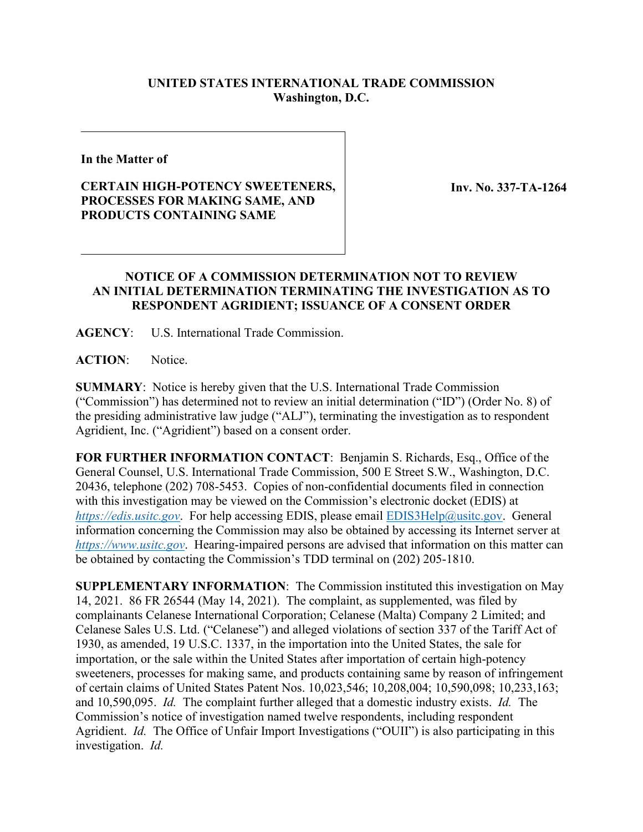## **UNITED STATES INTERNATIONAL TRADE COMMISSION Washington, D.C.**

**In the Matter of**

## **CERTAIN HIGH-POTENCY SWEETENERS, PROCESSES FOR MAKING SAME, AND PRODUCTS CONTAINING SAME**

**Inv. No. 337-TA-1264**

## **NOTICE OF A COMMISSION DETERMINATION NOT TO REVIEW AN INITIAL DETERMINATION TERMINATING THE INVESTIGATION AS TO RESPONDENT AGRIDIENT; ISSUANCE OF A CONSENT ORDER**

**AGENCY**: U.S. International Trade Commission.

**ACTION**: Notice.

**SUMMARY**: Notice is hereby given that the U.S. International Trade Commission ("Commission") has determined not to review an initial determination ("ID") (Order No. 8) of the presiding administrative law judge ("ALJ"), terminating the investigation as to respondent Agridient, Inc. ("Agridient") based on a consent order.

**FOR FURTHER INFORMATION CONTACT**: Benjamin S. Richards, Esq., Office of the General Counsel, U.S. International Trade Commission, 500 E Street S.W., Washington, D.C. 20436, telephone (202) 708-5453. Copies of non-confidential documents filed in connection with this investigation may be viewed on the Commission's electronic docket (EDIS) at *[https://edis.usitc.gov](https://edis.usitc.gov/).* For help accessing EDIS, please email [EDIS3Help@usitc.gov.](mailto:EDIS3Help@usitc.gov) General information concerning the Commission may also be obtained by accessing its Internet server at *[https://www.usitc.gov](https://www.usitc.gov/)*. Hearing-impaired persons are advised that information on this matter can be obtained by contacting the Commission's TDD terminal on (202) 205-1810.

**SUPPLEMENTARY INFORMATION**: The Commission instituted this investigation on May 14, 2021. 86 FR 26544 (May 14, 2021). The complaint, as supplemented, was filed by complainants Celanese International Corporation; Celanese (Malta) Company 2 Limited; and Celanese Sales U.S. Ltd. ("Celanese") and alleged violations of section 337 of the Tariff Act of 1930, as amended, 19 U.S.C. 1337, in the importation into the United States, the sale for importation, or the sale within the United States after importation of certain high-potency sweeteners, processes for making same, and products containing same by reason of infringement of certain claims of United States Patent Nos. 10,023,546; 10,208,004; 10,590,098; 10,233,163; and 10,590,095. *Id.* The complaint further alleged that a domestic industry exists. *Id.* The Commission's notice of investigation named twelve respondents, including respondent Agridient. *Id.* The Office of Unfair Import Investigations ("OUII") is also participating in this investigation. *Id.*